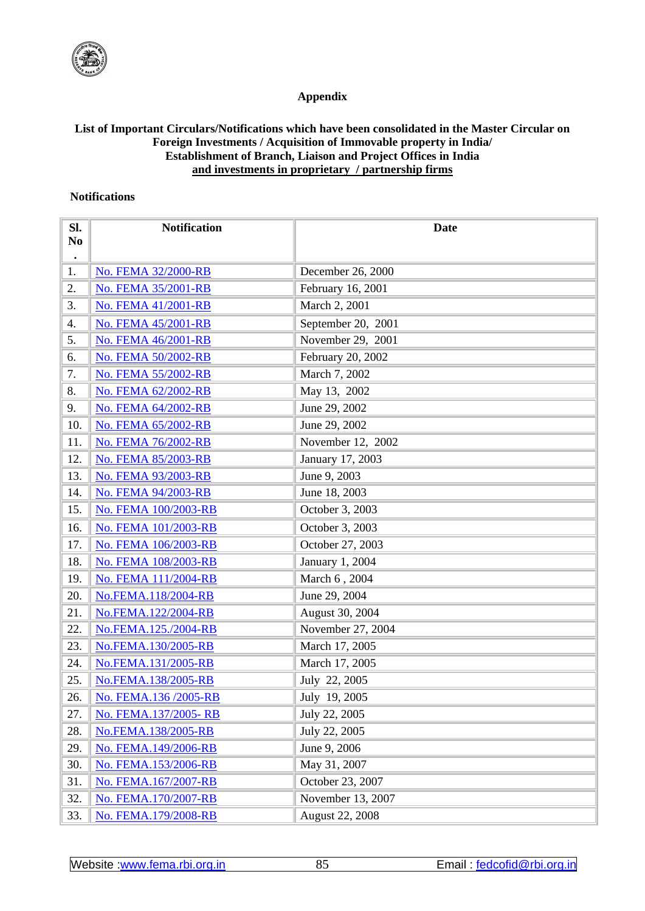

## **Appendix**

## **List of Important Circulars/Notifications which have been consolidated in the Master Circular on Foreign Investments / Acquisition of Immovable property in India/ Establishment of Branch, Liaison and Project Offices in India and investments in proprietary / partnership firms**

## **Notifications**

| SI.<br>N <sub>0</sub> | <b>Notification</b>        | <b>Date</b>        |
|-----------------------|----------------------------|--------------------|
| $\bullet$             |                            |                    |
| 1.                    | No. FEMA 32/2000-RB        | December 26, 2000  |
| 2.                    | No. FEMA 35/2001-RB        | February 16, 2001  |
| 3.                    | <b>No. FEMA 41/2001-RB</b> | March 2, 2001      |
| 4.                    | No. FEMA 45/2001-RB        | September 20, 2001 |
| 5.                    | No. FEMA 46/2001-RB        | November 29, 2001  |
| 6.                    | No. FEMA 50/2002-RB        | February 20, 2002  |
| 7.                    | No. FEMA 55/2002-RB        | March 7, 2002      |
| 8.                    | No. FEMA 62/2002-RB        | May 13, 2002       |
| 9.                    | No. FEMA 64/2002-RB        | June 29, 2002      |
| 10.                   | No. FEMA 65/2002-RB        | June 29, 2002      |
| 11.                   | No. FEMA 76/2002-RB        | November 12, 2002  |
| 12.                   | No. FEMA 85/2003-RB        | January 17, 2003   |
| 13.                   | No. FEMA 93/2003-RB        | June 9, 2003       |
| 14.                   | No. FEMA 94/2003-RB        | June 18, 2003      |
| 15.                   | No. FEMA 100/2003-RB       | October 3, 2003    |
| 16.                   | No. FEMA 101/2003-RB       | October 3, 2003    |
| 17.                   | No. FEMA 106/2003-RB       | October 27, 2003   |
| 18.                   | No. FEMA 108/2003-RB       | January 1, 2004    |
| 19.                   | No. FEMA 111/2004-RB       | March 6, 2004      |
| 20.                   | No.FEMA.118/2004-RB        | June 29, 2004      |
| 21.                   | No.FEMA.122/2004-RB        | August 30, 2004    |
| 22.                   | No.FEMA.125./2004-RB       | November 27, 2004  |
| 23.                   | No.FEMA.130/2005-RB        | March 17, 2005     |
| 24.                   | No.FEMA.131/2005-RB        | March 17, 2005     |
| 25.                   | No.FEMA.138/2005-RB        | July 22, 2005      |
| 26.                   | No. FEMA.136/2005-RB       | July 19, 2005      |
| 27.                   | No. FEMA.137/2005-RB       | July 22, 2005      |
| 28.                   | No.FEMA.138/2005-RB        | July 22, 2005      |
| 29.                   | No. FEMA.149/2006-RB       | June 9, 2006       |
| 30.                   | No. FEMA.153/2006-RB       | May 31, 2007       |
| 31.                   | No. FEMA.167/2007-RB       | October 23, 2007   |
| 32.                   | No. FEMA.170/2007-RB       | November 13, 2007  |
| 33.                   | No. FEMA.179/2008-RB       | August 22, 2008    |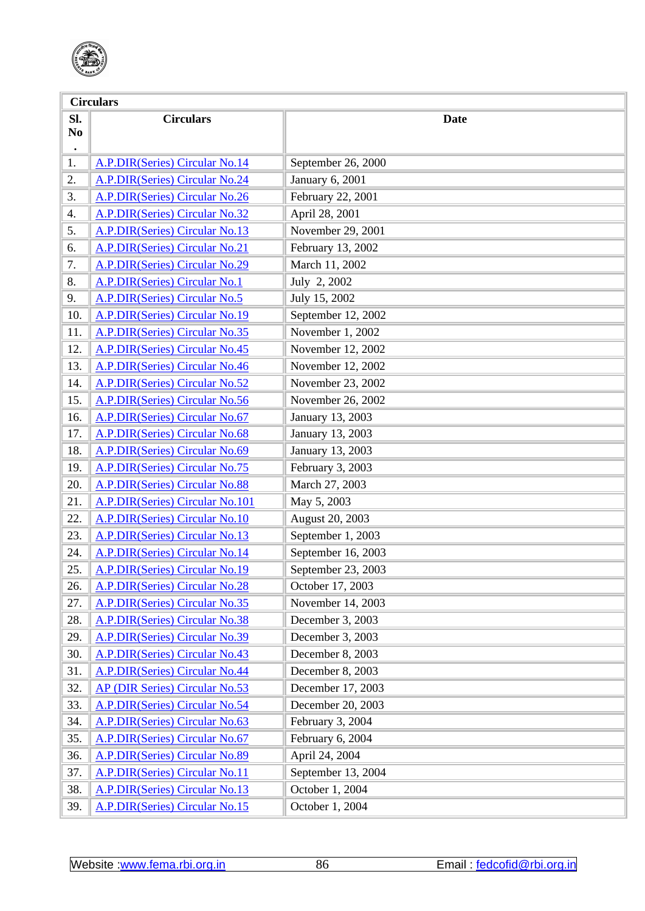

|                                    | <b>Circulars</b>                      |                    |  |  |  |
|------------------------------------|---------------------------------------|--------------------|--|--|--|
| Sl.<br>N <sub>0</sub><br>$\bullet$ | <b>Circulars</b>                      | <b>Date</b>        |  |  |  |
| 1.                                 | A.P.DIR(Series) Circular No.14        | September 26, 2000 |  |  |  |
| 2.                                 | <b>A.P.DIR(Series) Circular No.24</b> | January 6, 2001    |  |  |  |
| 3.                                 | A.P.DIR(Series) Circular No.26        | February 22, 2001  |  |  |  |
| 4.                                 | A.P.DIR(Series) Circular No.32        | April 28, 2001     |  |  |  |
| 5.                                 | <b>A.P.DIR(Series) Circular No.13</b> | November 29, 2001  |  |  |  |
| 6.                                 | A.P.DIR(Series) Circular No.21        | February 13, 2002  |  |  |  |
| 7.                                 | A.P.DIR(Series) Circular No.29        | March 11, 2002     |  |  |  |
| 8.                                 | A.P.DIR(Series) Circular No.1         | July 2, 2002       |  |  |  |
| 9.                                 | A.P.DIR(Series) Circular No.5         | July 15, 2002      |  |  |  |
| 10.                                | A.P.DIR(Series) Circular No.19        | September 12, 2002 |  |  |  |
| 11.                                | A.P.DIR(Series) Circular No.35        | November 1, 2002   |  |  |  |
| 12.                                | A.P.DIR(Series) Circular No.45        | November 12, 2002  |  |  |  |
| 13.                                | A.P.DIR(Series) Circular No.46        | November 12, 2002  |  |  |  |
| 14.                                | A.P.DIR(Series) Circular No.52        | November 23, 2002  |  |  |  |
| 15.                                | <b>A.P.DIR(Series) Circular No.56</b> | November 26, 2002  |  |  |  |
| 16.                                | A.P.DIR(Series) Circular No.67        | January 13, 2003   |  |  |  |
| 17.                                | A.P.DIR(Series) Circular No.68        | January 13, 2003   |  |  |  |
| 18.                                | <b>A.P.DIR(Series) Circular No.69</b> | January 13, 2003   |  |  |  |
| 19.                                | <b>A.P.DIR(Series) Circular No.75</b> | February 3, 2003   |  |  |  |
| 20.                                | <b>A.P.DIR(Series) Circular No.88</b> | March 27, 2003     |  |  |  |
| 21.                                | A.P.DIR(Series) Circular No.101       | May 5, 2003        |  |  |  |
| 22.                                | A.P.DIR(Series) Circular No.10        | August 20, 2003    |  |  |  |
| 23.                                | A.P.DIR(Series) Circular No.13        | September 1, 2003  |  |  |  |
| 24.                                | <b>A.P.DIR(Series) Circular No.14</b> | September 16, 2003 |  |  |  |
| 25.                                | <b>A.P.DIR(Series) Circular No.19</b> | September 23, 2003 |  |  |  |
| 26.                                | <b>A.P.DIR(Series) Circular No.28</b> | October 17, 2003   |  |  |  |
| 27.                                | A.P.DIR(Series) Circular No.35        | November 14, 2003  |  |  |  |
| 28.                                | <b>A.P.DIR(Series) Circular No.38</b> | December 3, 2003   |  |  |  |
| 29.                                | A.P.DIR(Series) Circular No.39        | December 3, 2003   |  |  |  |
| 30.                                | A.P.DIR(Series) Circular No.43        | December 8, 2003   |  |  |  |
| 31.                                | <b>A.P.DIR(Series) Circular No.44</b> | December 8, 2003   |  |  |  |
| 32.                                | <b>AP (DIR Series) Circular No.53</b> | December 17, 2003  |  |  |  |
| 33.                                | <b>A.P.DIR(Series) Circular No.54</b> | December 20, 2003  |  |  |  |
| 34.                                | A.P.DIR(Series) Circular No.63        | February 3, 2004   |  |  |  |
| 35.                                | A.P.DIR(Series) Circular No.67        | February 6, 2004   |  |  |  |
| 36.                                | A.P.DIR(Series) Circular No.89        | April 24, 2004     |  |  |  |
| 37.                                | A.P.DIR(Series) Circular No.11        | September 13, 2004 |  |  |  |
| 38.                                | A.P.DIR(Series) Circular No.13        | October 1, 2004    |  |  |  |
| 39.                                | A.P.DIR(Series) Circular No.15        | October 1, 2004    |  |  |  |